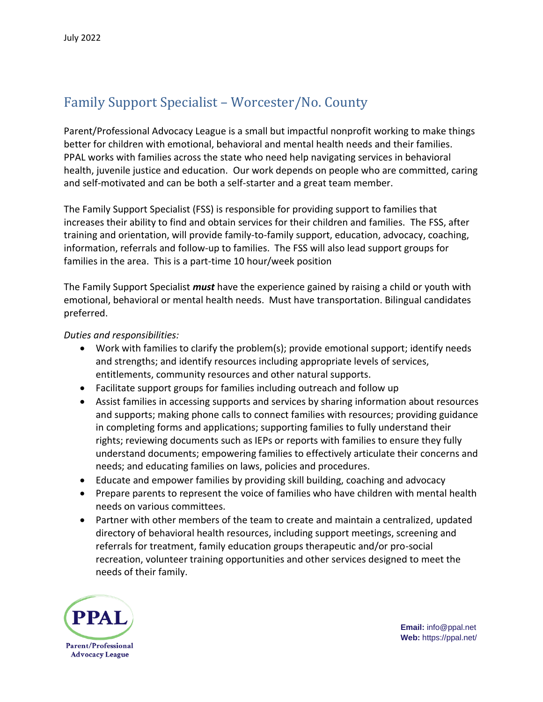## Family Support Specialist – Worcester/No. County

Parent/Professional Advocacy League is a small but impactful nonprofit working to make things better for children with emotional, behavioral and mental health needs and their families. PPAL works with families across the state who need help navigating services in behavioral health, juvenile justice and education. Our work depends on people who are committed, caring and self-motivated and can be both a self-starter and a great team member.

The Family Support Specialist (FSS) is responsible for providing support to families that increases their ability to find and obtain services for their children and families. The FSS, after training and orientation, will provide family-to-family support, education, advocacy, coaching, information, referrals and follow-up to families. The FSS will also lead support groups for families in the area. This is a part-time 10 hour/week position

The Family Support Specialist *must* have the experience gained by raising a child or youth with emotional, behavioral or mental health needs. Must have transportation. Bilingual candidates preferred.

## *Duties and responsibilities:*

- Work with families to clarify the problem(s); provide emotional support; identify needs and strengths; and identify resources including appropriate levels of services, entitlements, community resources and other natural supports.
- Facilitate support groups for families including outreach and follow up
- Assist families in accessing supports and services by sharing information about resources and supports; making phone calls to connect families with resources; providing guidance in completing forms and applications; supporting families to fully understand their rights; reviewing documents such as IEPs or reports with families to ensure they fully understand documents; empowering families to effectively articulate their concerns and needs; and educating families on laws, policies and procedures.
- Educate and empower families by providing skill building, coaching and advocacy
- Prepare parents to represent the voice of families who have children with mental health needs on various committees.
- Partner with other members of the team to create and maintain a centralized, updated directory of behavioral health resources, including support meetings, screening and referrals for treatment, family education groups therapeutic and/or pro-social recreation, volunteer training opportunities and other services designed to meet the needs of their family.



**Email:** info@ppal.net **Web:** https://ppal.net/